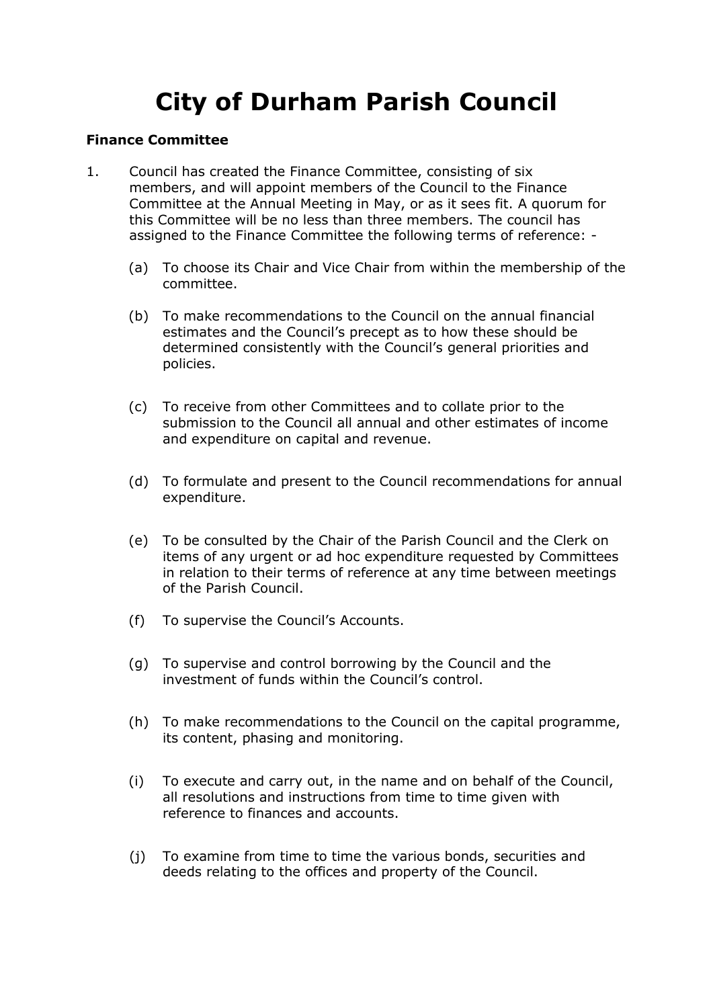## **City of Durham Parish Council**

## **Finance Committee**

- 1. Council has created the Finance Committee, consisting of six members, and will appoint members of the Council to the Finance Committee at the Annual Meeting in May, or as it sees fit. A quorum for this Committee will be no less than three members. The council has assigned to the Finance Committee the following terms of reference: -
	- (a) To choose its Chair and Vice Chair from within the membership of the committee.
	- (b) To make recommendations to the Council on the annual financial estimates and the Council's precept as to how these should be determined consistently with the Council's general priorities and policies.
	- (c) To receive from other Committees and to collate prior to the submission to the Council all annual and other estimates of income and expenditure on capital and revenue.
	- (d) To formulate and present to the Council recommendations for annual expenditure.
	- (e) To be consulted by the Chair of the Parish Council and the Clerk on items of any urgent or ad hoc expenditure requested by Committees in relation to their terms of reference at any time between meetings of the Parish Council.
	- (f) To supervise the Council's Accounts.
	- (g) To supervise and control borrowing by the Council and the investment of funds within the Council's control.
	- (h) To make recommendations to the Council on the capital programme, its content, phasing and monitoring.
	- (i) To execute and carry out, in the name and on behalf of the Council, all resolutions and instructions from time to time given with reference to finances and accounts.
	- (j) To examine from time to time the various bonds, securities and deeds relating to the offices and property of the Council.